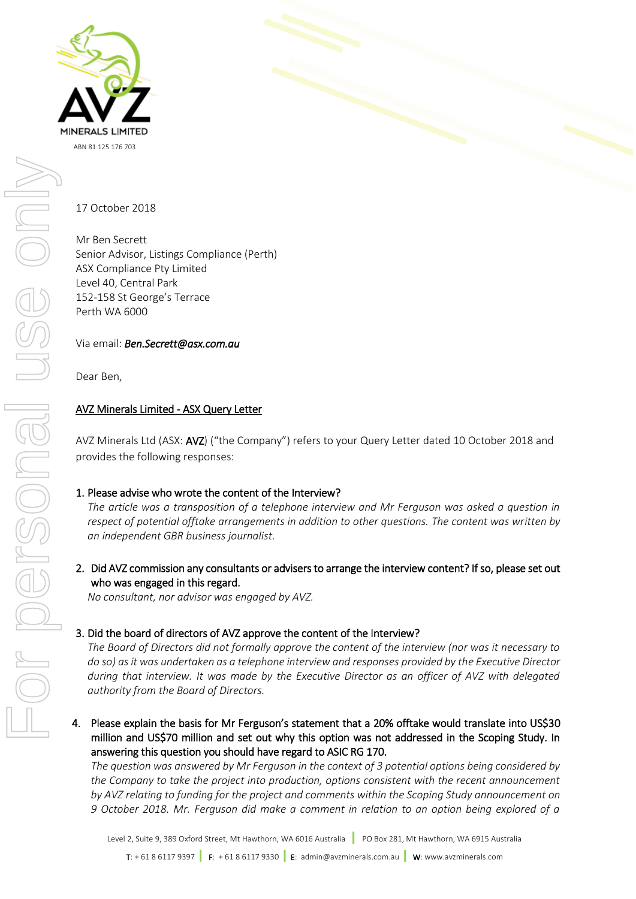

17 October 2018

Mr Ben Secrett Senior Advisor, Listings Compliance (Perth) ASX Compliance Pty Limited Level 40, Central Park 152-158 St George's Terrace Perth WA 6000

Via email: *Ben.Secrett@asx.com.au*

Dear Ben,

## AVZ Minerals Limited - ASX Query Letter

AVZ Minerals Ltd (ASX: AVZ) ("the Company") refers to your Query Letter dated 10 October 2018 and provides the following responses:

1. Please advise who wrote the content of the Interview?

*The article was a transposition of a telephone interview and Mr Ferguson was asked a question in respect of potential offtake arrangements in addition to other questions. The content was written by an independent GBR business journalist.*

2. Did AVZ commission any consultants or advisers to arrange the interview content? If so, please set out who was engaged in this regard.

*No consultant, nor advisor was engaged by AVZ.*

### 3. Did the board of directors of AVZ approve the content of the Interview?

*The Board of Directors did not formally approve the content of the interview (nor was it necessary to do so) as it was undertaken as a telephone interview and responses provided by the Executive Director during that interview. It was made by the Executive Director as an officer of AVZ with delegated authority from the Board of Directors.* 

4. Please explain the basis for Mr Ferguson's statement that a 20% offtake would translate into US\$30 million and US\$70 million and set out why this option was not addressed in the Scoping Study. In answering this question you should have regard to ASIC RG 170.

*The question was answered by Mr Ferguson in the context of 3 potential options being considered by the Company to take the project into production, options consistent with the recent announcement by AVZ relating to funding for the project and comments within the Scoping Study announcement on 9 October 2018. Mr. Ferguson did make a comment in relation to an option being explored of a*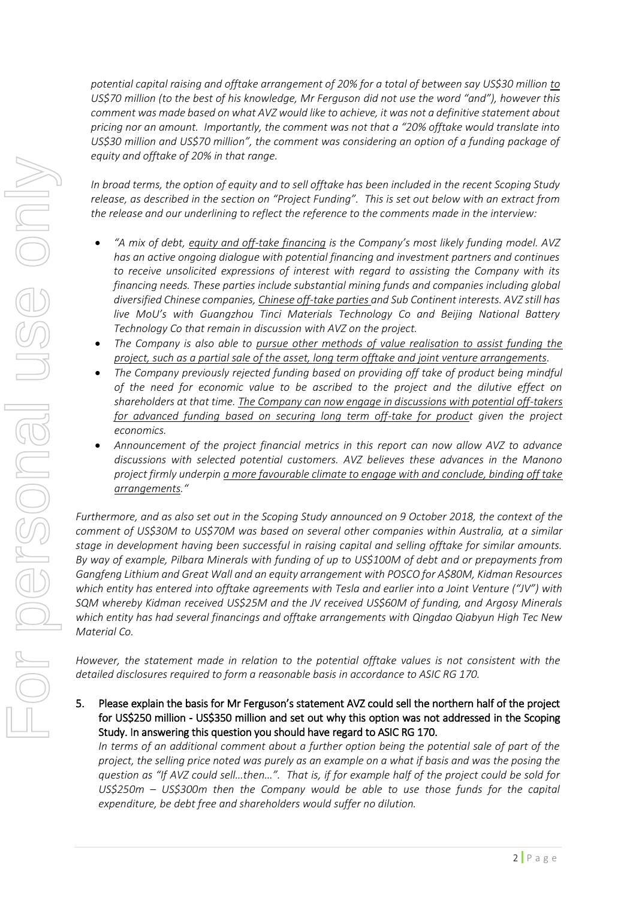*potential capital raising and offtake arrangement of 20% for a total of between say US\$30 million to US\$70 million (to the best of his knowledge, Mr Ferguson did not use the word "and"), however this comment was made based on what AVZ would like to achieve, it was not a definitive statement about pricing nor an amount. Importantly, the comment was not that a "20% offtake would translate into US\$30 million and US\$70 million", the comment was considering an option of a funding package of equity and offtake of 20% in that range.* 

*In broad terms, the option of equity and to sell offtake has been included in the recent Scoping Study release, as described in the section on "Project Funding". This is set out below with an extract from the release and our underlining to reflect the reference to the comments made in the interview:*

- *"A mix of debt, equity and off-take financing is the Company's most likely funding model. AVZ has an active ongoing dialogue with potential financing and investment partners and continues to receive unsolicited expressions of interest with regard to assisting the Company with its financing needs. These parties include substantial mining funds and companies including global diversified Chinese companies, Chinese off-take parties and Sub Continent interests. AVZ still has live MoU's with Guangzhou Tinci Materials Technology Co and Beijing National Battery Technology Co that remain in discussion with AVZ on the project.*
- *The Company is also able to pursue other methods of value realisation to assist funding the project, such as a partial sale of the asset, long term offtake and joint venture arrangements.*
- *The Company previously rejected funding based on providing off take of product being mindful of the need for economic value to be ascribed to the project and the dilutive effect on shareholders at that time. The Company can now engage in discussions with potential off-takers for advanced funding based on securing long term off-take for product given the project economics.*
- *Announcement of the project financial metrics in this report can now allow AVZ to advance discussions with selected potential customers. AVZ believes these advances in the Manono project firmly underpin a more favourable climate to engage with and conclude, binding off take arrangements."*

*Furthermore, and as also set out in the Scoping Study announced on 9 October 2018, the context of the comment of US\$30M to US\$70M was based on several other companies within Australia, at a similar stage in development having been successful in raising capital and selling offtake for similar amounts. By way of example, Pilbara Minerals with funding of up to US\$100M of debt and or prepayments from Gangfeng Lithium and Great Wall and an equity arrangement with POSCO for A\$80M, Kidman Resources which entity has entered into offtake agreements with Tesla and earlier into a Joint Venture ("JV") with SQM whereby Kidman received US\$25M and the JV received US\$60M of funding, and Argosy Minerals which entity has had several financings and offtake arrangements with Qingdao Qiabyun High Tec New Material Co.*

*However, the statement made in relation to the potential offtake values is not consistent with the detailed disclosures required to form a reasonable basis in accordance to ASIC RG 170.*

5. Please explain the basis for Mr Ferguson's statement AVZ could sell the northern half of the project for US\$250 million - US\$350 million and set out why this option was not addressed in the Scoping Study. In answering this question you should have regard to ASIC RG 170.

*In terms of an additional comment about a further option being the potential sale of part of the project, the selling price noted was purely as an example on a what if basis and was the posing the question as "If AVZ could sell…then…". That is, if for example half of the project could be sold for US\$250m – US\$300m then the Company would be able to use those funds for the capital expenditure, be debt free and shareholders would suffer no dilution.*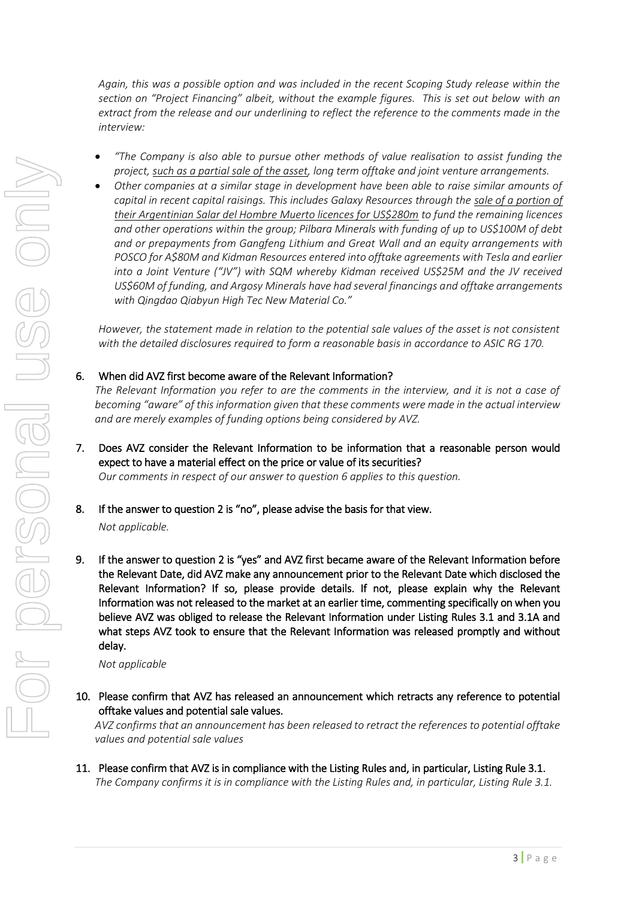*Again, this was a possible option and was included in the recent Scoping Study release within the section on "Project Financing" albeit, without the example figures. This is set out below with an extract from the release and our underlining to reflect the reference to the comments made in the interview:*

- *"The Company is also able to pursue other methods of value realisation to assist funding the project, such as a partial sale of the asset, long term offtake and joint venture arrangements.*
- *Other companies at a similar stage in development have been able to raise similar amounts of capital in recent capital raisings. This includes Galaxy Resources through the sale of a portion of their Argentinian Salar del Hombre Muerto licences for US\$280m to fund the remaining licences and other operations within the group; Pilbara Minerals with funding of up to US\$100M of debt and or prepayments from Gangfeng Lithium and Great Wall and an equity arrangements with POSCO for A\$80M and Kidman Resources entered into offtake agreements with Tesla and earlier into a Joint Venture ("JV") with SQM whereby Kidman received US\$25M and the JV received US\$60M of funding, and Argosy Minerals have had several financings and offtake arrangements with Qingdao Qiabyun High Tec New Material Co."*

*However, the statement made in relation to the potential sale values of the asset is not consistent with the detailed disclosures required to form a reasonable basis in accordance to ASIC RG 170.*

## 6. When did AVZ first become aware of the Relevant Information?

*The Relevant Information you refer to are the comments in the interview, and it is not a case of becoming "aware" of this information given that these comments were made in the actual interview and are merely examples of funding options being considered by AVZ.*

- 7. Does AVZ consider the Relevant Information to be information that a reasonable person would expect to have a material effect on the price or value of its securities? *Our comments in respect of our answer to question 6 applies to this question.*
- 8. If the answer to question 2 is "no", please advise the basis for that view.

*Not applicable.*

9. If the answer to question 2 is "yes" and AVZ first became aware of the Relevant Information before the Relevant Date, did AVZ make any announcement prior to the Relevant Date which disclosed the Relevant Information? If so, please provide details. If not, please explain why the Relevant Information was not released to the market at an earlier time, commenting specifically on when you believe AVZ was obliged to release the Relevant Information under Listing Rules 3.1 and 3.1A and what steps AVZ took to ensure that the Relevant Information was released promptly and without delay.

*Not applicable*

10. Please confirm that AVZ has released an announcement which retracts any reference to potential offtake values and potential sale values.

*AVZ confirms that an announcement has been released to retract the references to potential offtake values and potential sale values*

11. Please confirm that AVZ is in compliance with the Listing Rules and, in particular, Listing Rule 3.1. *The Company confirms it is in compliance with the Listing Rules and, in particular, Listing Rule 3.1.*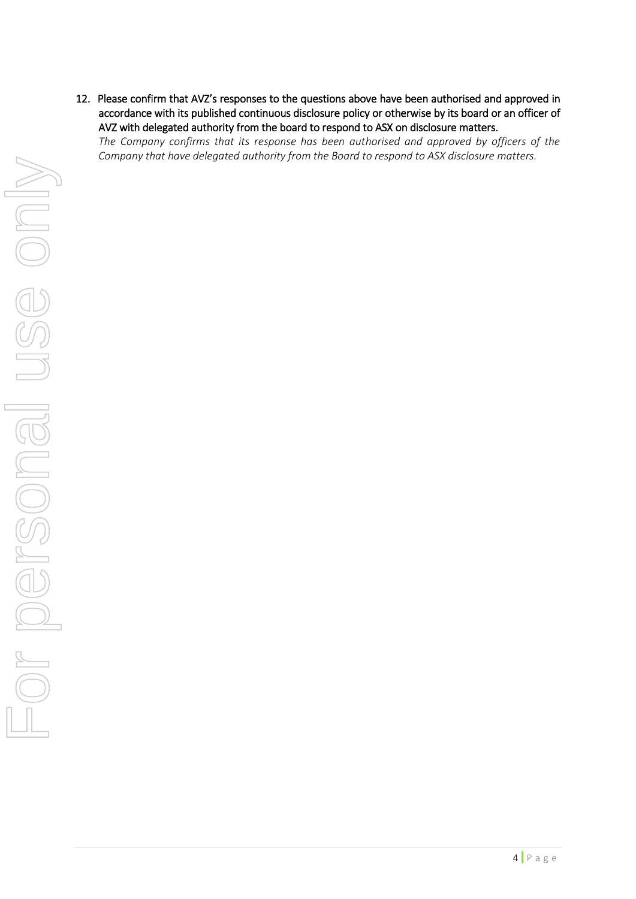12. Please confirm that AVZ's responses to the questions above have been authorised and approved in accordance with its published continuous disclosure policy or otherwise by its board or an officer of AVZ with delegated authority from the board to respond to ASX on disclosure matters.

*The Company confirms that its response has been authorised and approved by officers of the Company that have delegated authority from the Board to respond to ASX disclosure matters.*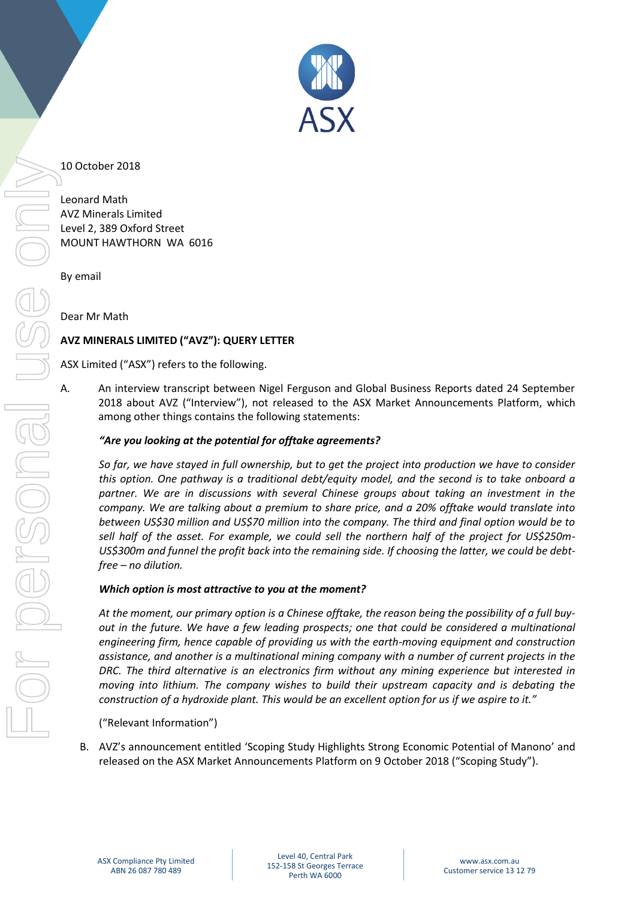

## 10 October 2018

Leonard Math AVZ Minerals Limited Level 2, 389 Oxford Street MOUNT HAWTHORN WA 6016

By email

Dear Mr Math

# **AVZ MINERALS LIMITED ("AVZ"): QUERY LETTER**

ASX Limited ("ASX") refers to the following.

A. An interview transcript between Nigel Ferguson and Global Business Reports dated 24 September 2018 about AVZ ("Interview"), not released to the ASX Market Announcements Platform, which among other things contains the following statements:

## *"Are you looking at the potential for offtake agreements?*

*So far, we have stayed in full ownership, but to get the project into production we have to consider this option. One pathway is a traditional debt/equity model, and the second is to take onboard a partner. We are in discussions with several Chinese groups about taking an investment in the company. We are talking about a premium to share price, and a 20% offtake would translate into between US\$30 million and US\$70 million into the company. The third and final option would be to sell half of the asset. For example, we could sell the northern half of the project for US\$250m-US\$300m and funnel the profit back into the remaining side. If choosing the latter, we could be debtfree – no dilution.*

### *Which option is most attractive to you at the moment?*

*At the moment, our primary option is a Chinese offtake, the reason being the possibility of a full buyout in the future. We have a few leading prospects; one that could be considered a multinational engineering firm, hence capable of providing us with the earth-moving equipment and construction assistance, and another is a multinational mining company with a number of current projects in the DRC. The third alternative is an electronics firm without any mining experience but interested in moving into lithium. The company wishes to build their upstream capacity and is debating the construction of a hydroxide plant. This would be an excellent option for us if we aspire to it."*

("Relevant Information")

B. AVZ's announcement entitled 'Scoping Study Highlights Strong Economic Potential of Manono' and released on the ASX Market Announcements Platform on 9 October 2018 ("Scoping Study").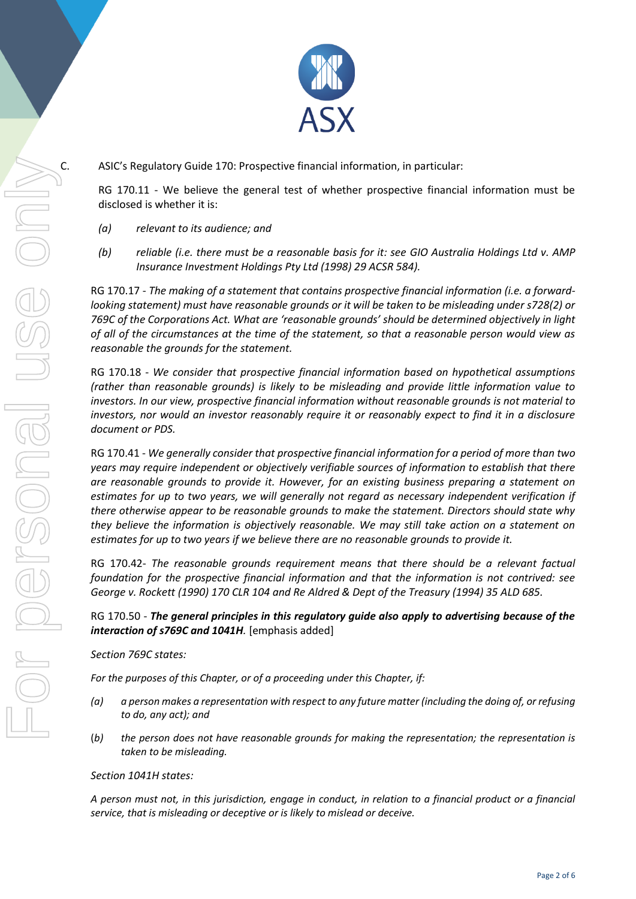

C. ASIC's Regulatory Guide 170: Prospective financial information, in particular:

RG 170.11 - We believe the general test of whether prospective financial information must be disclosed is whether it is:

- *(a) relevant to its audience; and*
- *(b) reliable (i.e. there must be a reasonable basis for it: see GIO Australia Holdings Ltd v. AMP Insurance Investment Holdings Pty Ltd (1998) 29 ACSR 584).*

RG 170.17 - *The making of a statement that contains prospective financial information (i.e. a forwardlooking statement) must have reasonable grounds or it will be taken to be misleading under s728(2) or 769C of the Corporations Act. What are 'reasonable grounds' should be determined objectively in light of all of the circumstances at the time of the statement, so that a reasonable person would view as reasonable the grounds for the statement.*

RG 170.18 - *We consider that prospective financial information based on hypothetical assumptions (rather than reasonable grounds) is likely to be misleading and provide little information value to investors. In our view, prospective financial information without reasonable grounds is not material to investors, nor would an investor reasonably require it or reasonably expect to find it in a disclosure document or PDS.*

RG 170.41 - *We generally consider that prospective financial information for a period of more than two years may require independent or objectively verifiable sources of information to establish that there are reasonable grounds to provide it. However, for an existing business preparing a statement on estimates for up to two years, we will generally not regard as necessary independent verification if there otherwise appear to be reasonable grounds to make the statement. Directors should state why they believe the information is objectively reasonable. We may still take action on a statement on estimates for up to two years if we believe there are no reasonable grounds to provide it.*

RG 170.42- *The reasonable grounds requirement means that there should be a relevant factual foundation for the prospective financial information and that the information is not contrived: see George v. Rockett (1990) 170 CLR 104 and Re Aldred & Dept of the Treasury (1994) 35 ALD 685.*

RG 170.50 - *The general principles in this regulatory guide also apply to advertising because of the interaction of s769C and 1041H*. [emphasis added]

*Section 769C states:* 

*For the purposes of this Chapter, or of a proceeding under this Chapter, if:* 

- *(a) a person makes a representation with respect to any future matter (including the doing of, or refusing to do, any act); and*
- (*b) the person does not have reasonable grounds for making the representation; the representation is taken to be misleading.*

### *Section 1041H states:*

*A person must not, in this jurisdiction, engage in conduct, in relation to a financial product or a financial service, that is misleading or deceptive or is likely to mislead or deceive.*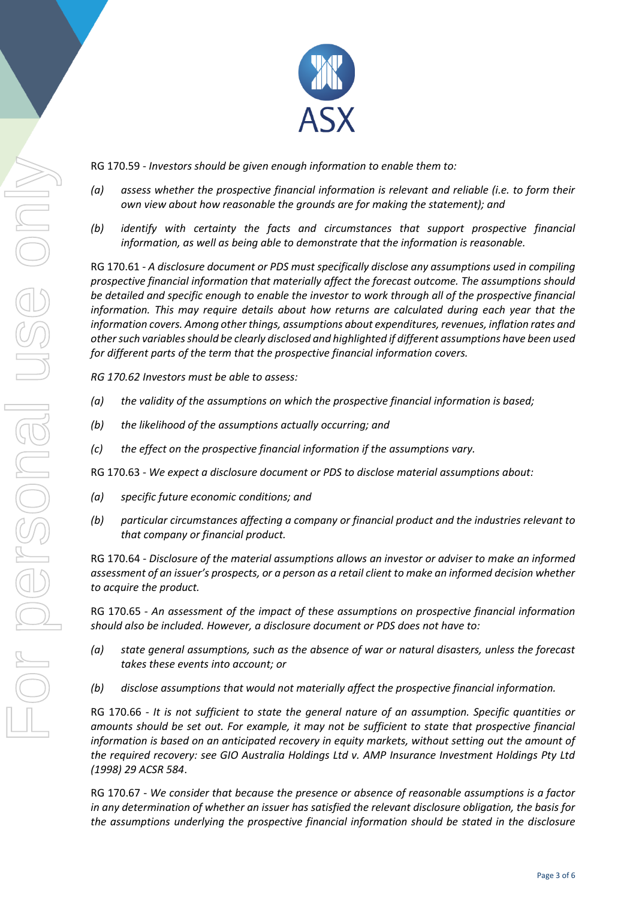

RG 170.59 - *Investors should be given enough information to enable them to:* 

- *(a) assess whether the prospective financial information is relevant and reliable (i.e. to form their own view about how reasonable the grounds are for making the statement); and*
- *(b) identify with certainty the facts and circumstances that support prospective financial information, as well as being able to demonstrate that the information is reasonable.*

RG 170.61 *- A disclosure document or PDS must specifically disclose any assumptions used in compiling prospective financial information that materially affect the forecast outcome. The assumptions should be detailed and specific enough to enable the investor to work through all of the prospective financial information. This may require details about how returns are calculated during each year that the information covers. Among other things, assumptions about expenditures, revenues, inflation rates and other such variables should be clearly disclosed and highlighted if different assumptions have been used for different parts of the term that the prospective financial information covers.* 

*RG 170.62 Investors must be able to assess:* 

- *(a) the validity of the assumptions on which the prospective financial information is based;*
- *(b) the likelihood of the assumptions actually occurring; and*
- *(c) the effect on the prospective financial information if the assumptions vary.*

RG 170.63 - *We expect a disclosure document or PDS to disclose material assumptions about:*

- *(a) specific future economic conditions; and*
- *(b) particular circumstances affecting a company or financial product and the industries relevant to that company or financial product.*

RG 170.64 - *Disclosure of the material assumptions allows an investor or adviser to make an informed assessment of an issuer's prospects, or a person as a retail client to make an informed decision whether to acquire the product.*

RG 170.65 - *An assessment of the impact of these assumptions on prospective financial information should also be included. However, a disclosure document or PDS does not have to:*

- *(a) state general assumptions, such as the absence of war or natural disasters, unless the forecast takes these events into account; or*
- *(b) disclose assumptions that would not materially affect the prospective financial information.*

RG 170.66 - *It is not sufficient to state the general nature of an assumption. Specific quantities or amounts should be set out. For example, it may not be sufficient to state that prospective financial information is based on an anticipated recovery in equity markets, without setting out the amount of the required recovery: see GIO Australia Holdings Ltd v. AMP Insurance Investment Holdings Pty Ltd (1998) 29 ACSR 584*.

RG 170.67 - *We consider that because the presence or absence of reasonable assumptions is a factor in any determination of whether an issuer has satisfied the relevant disclosure obligation, the basis for the assumptions underlying the prospective financial information should be stated in the disclosure*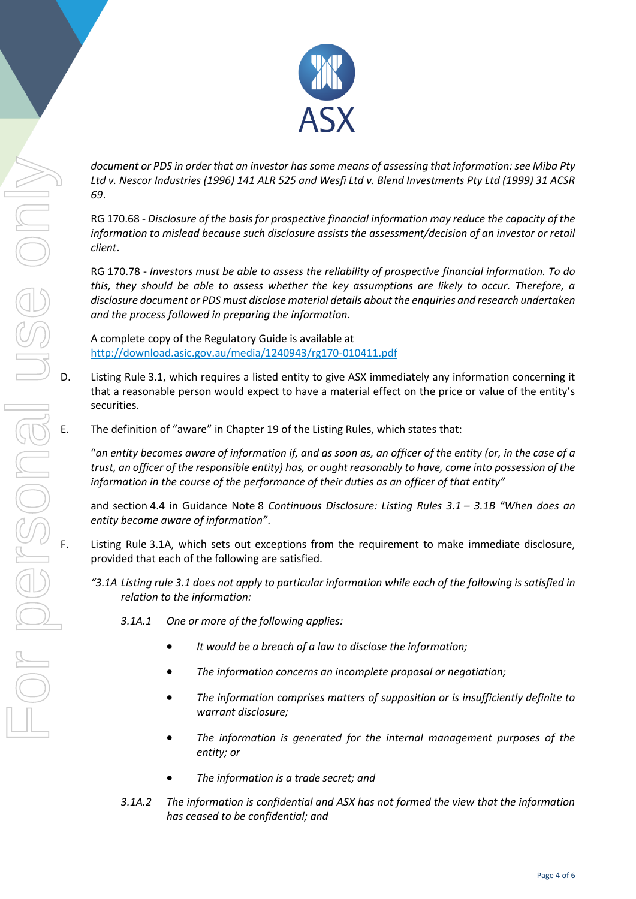

*document or PDS in order that an investor has some means of assessing that information: see Miba Pty Ltd v. Nescor Industries (1996) 141 ALR 525 and Wesfi Ltd v. Blend Investments Pty Ltd (1999) 31 ACSR 69*.

RG 170.68 - *Disclosure of the basis for prospective financial information may reduce the capacity of the information to mislead because such disclosure assists the assessment/decision of an investor or retail client*.

RG 170.78 - *Investors must be able to assess the reliability of prospective financial information. To do this, they should be able to assess whether the key assumptions are likely to occur. Therefore, a disclosure document or PDS must disclose material details about the enquiries and research undertaken and the process followed in preparing the information.*

A complete copy of the Regulatory Guide is available at <http://download.asic.gov.au/media/1240943/rg170-010411.pdf>

- D. Listing Rule 3.1, which requires a listed entity to give ASX immediately any information concerning it that a reasonable person would expect to have a material effect on the price or value of the entity's securities.
- E. The definition of "aware" in Chapter 19 of the Listing Rules, which states that:

"*an entity becomes aware of information if, and as soon as, an officer of the entity (or, in the case of a trust, an officer of the responsible entity) has, or ought reasonably to have, come into possession of the information in the course of the performance of their duties as an officer of that entity"*

and section 4.4 in Guidance Note 8 *Continuous Disclosure: Listing Rules 3.1 – 3.1B "When does an entity become aware of information"*.

- Listing Rule 3.1A, which sets out exceptions from the requirement to make immediate disclosure, provided that each of the following are satisfied.
	- *"3.1A Listing rule 3.1 does not apply to particular information while each of the following is satisfied in relation to the information:*
		- *3.1A.1 One or more of the following applies:*
			- *It would be a breach of a law to disclose the information;*
			- *The information concerns an incomplete proposal or negotiation;*
			- *The information comprises matters of supposition or is insufficiently definite to warrant disclosure;*
			- *The information is generated for the internal management purposes of the entity; or*
			- *The information is a trade secret; and*
		- *3.1A.2 The information is confidential and ASX has not formed the view that the information has ceased to be confidential; and*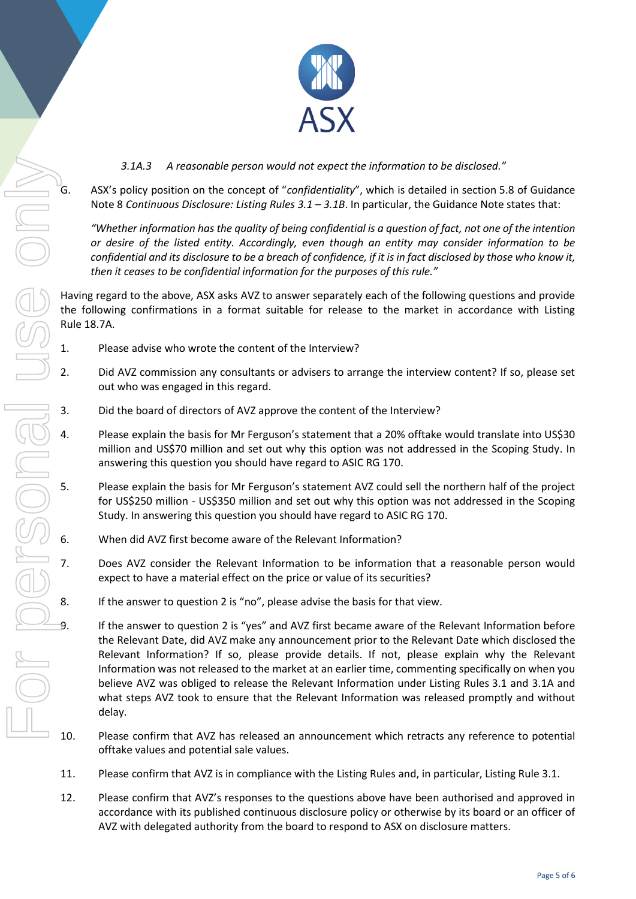

- Rule 18.7A. For personal use only
	- *3.1A.3 A reasonable person would not expect the information to be disclosed."*
	- G. ASX's policy position on the concept of "*confidentiality*", which is detailed in section 5.8 of Guidance Note 8 *Continuous Disclosure: Listing Rules 3.1 – 3.1B*. In particular, the Guidance Note states that:

*"Whether information has the quality of being confidential is a question of fact, not one of the intention or desire of the listed entity. Accordingly, even though an entity may consider information to be confidential and its disclosure to be a breach of confidence, if it is in fact disclosed by those who know it, then it ceases to be confidential information for the purposes of this rule."*

Having regard to the above, ASX asks AVZ to answer separately each of the following questions and provide the following confirmations in a format suitable for release to the market in accordance with Listing

- 1. Please advise who wrote the content of the Interview?
- 2. Did AVZ commission any consultants or advisers to arrange the interview content? If so, please set out who was engaged in this regard.
- 3. Did the board of directors of AVZ approve the content of the Interview?
- 4. Please explain the basis for Mr Ferguson's statement that a 20% offtake would translate into US\$30 million and US\$70 million and set out why this option was not addressed in the Scoping Study. In answering this question you should have regard to ASIC RG 170.
- 5. Please explain the basis for Mr Ferguson's statement AVZ could sell the northern half of the project for US\$250 million - US\$350 million and set out why this option was not addressed in the Scoping Study. In answering this question you should have regard to ASIC RG 170.
- 6. When did AVZ first become aware of the Relevant Information?
- 7. Does AVZ consider the Relevant Information to be information that a reasonable person would expect to have a material effect on the price or value of its securities?
- 8. If the answer to question 2 is "no", please advise the basis for that view.

If the answer to question 2 is "yes" and AVZ first became aware of the Relevant Information before the Relevant Date, did AVZ make any announcement prior to the Relevant Date which disclosed the Relevant Information? If so, please provide details. If not, please explain why the Relevant Information was not released to the market at an earlier time, commenting specifically on when you believe AVZ was obliged to release the Relevant Information under Listing Rules 3.1 and 3.1A and what steps AVZ took to ensure that the Relevant Information was released promptly and without delay.

- 10. Please confirm that AVZ has released an announcement which retracts any reference to potential offtake values and potential sale values.
- 11. Please confirm that AVZ is in compliance with the Listing Rules and, in particular, Listing Rule 3.1.
- 12. Please confirm that AVZ's responses to the questions above have been authorised and approved in accordance with its published continuous disclosure policy or otherwise by its board or an officer of AVZ with delegated authority from the board to respond to ASX on disclosure matters.